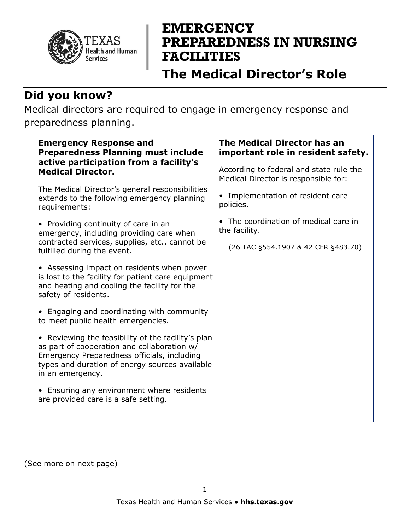

# **EMERGENCY PREPAREDNESS IN NURSING FACILITIES**

## **The Medical Director's Role**

#### **Did you know?**

Medical directors are required to engage in emergency response and preparedness planning.

| <b>Emergency Response and</b><br><b>Preparedness Planning must include</b><br>active participation from a facility's<br><b>Medical Director.</b>                                                                       | The Medical Director has an<br>important role in resident safety.               |
|------------------------------------------------------------------------------------------------------------------------------------------------------------------------------------------------------------------------|---------------------------------------------------------------------------------|
|                                                                                                                                                                                                                        | According to federal and state rule the<br>Medical Director is responsible for: |
| The Medical Director's general responsibilities<br>extends to the following emergency planning<br>requirements:                                                                                                        | • Implementation of resident care<br>policies.                                  |
| • Providing continuity of care in an<br>emergency, including providing care when<br>contracted services, supplies, etc., cannot be<br>fulfilled during the event.                                                      | • The coordination of medical care in<br>the facility.                          |
|                                                                                                                                                                                                                        | (26 TAC §554.1907 & 42 CFR §483.70)                                             |
| • Assessing impact on residents when power<br>is lost to the facility for patient care equipment<br>and heating and cooling the facility for the<br>safety of residents.                                               |                                                                                 |
| • Engaging and coordinating with community<br>to meet public health emergencies.                                                                                                                                       |                                                                                 |
| • Reviewing the feasibility of the facility's plan<br>as part of cooperation and collaboration w/<br>Emergency Preparedness officials, including<br>types and duration of energy sources available<br>in an emergency. |                                                                                 |
| • Ensuring any environment where residents<br>are provided care is a safe setting.                                                                                                                                     |                                                                                 |

(See more on next page)